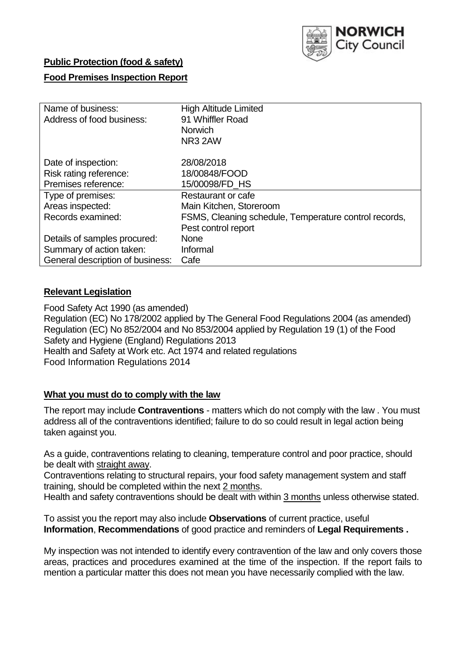

# **Public Protection (food & safety)**

# **Food Premises Inspection Report**

| Name of business:                | <b>High Altitude Limited</b>                          |
|----------------------------------|-------------------------------------------------------|
| Address of food business:        | 91 Whiffler Road                                      |
|                                  | <b>Norwich</b>                                        |
|                                  | NR3 2AW                                               |
| Date of inspection:              | 28/08/2018                                            |
| Risk rating reference:           | 18/00848/FOOD                                         |
| Premises reference:              | 15/00098/FD HS                                        |
| Type of premises:                | Restaurant or cafe                                    |
| Areas inspected:                 | Main Kitchen, Storeroom                               |
| Records examined:                | FSMS, Cleaning schedule, Temperature control records, |
|                                  | Pest control report                                   |
| Details of samples procured:     | <b>None</b>                                           |
| Summary of action taken:         | Informal                                              |
| General description of business: | Cafe                                                  |

# **Relevant Legislation**

Food Safety Act 1990 (as amended) Regulation (EC) No 178/2002 applied by The General Food Regulations 2004 (as amended) Regulation (EC) No 852/2004 and No 853/2004 applied by Regulation 19 (1) of the Food Safety and Hygiene (England) Regulations 2013 Health and Safety at Work etc. Act 1974 and related regulations Food Information Regulations 2014

### **What you must do to comply with the law**

The report may include **Contraventions** - matters which do not comply with the law . You must address all of the contraventions identified; failure to do so could result in legal action being taken against you.

As a guide, contraventions relating to cleaning, temperature control and poor practice, should be dealt with straight away.

Contraventions relating to structural repairs, your food safety management system and staff training, should be completed within the next 2 months.

Health and safety contraventions should be dealt with within 3 months unless otherwise stated.

To assist you the report may also include **Observations** of current practice, useful **Information**, **Recommendations** of good practice and reminders of **Legal Requirements .**

My inspection was not intended to identify every contravention of the law and only covers those areas, practices and procedures examined at the time of the inspection. If the report fails to mention a particular matter this does not mean you have necessarily complied with the law.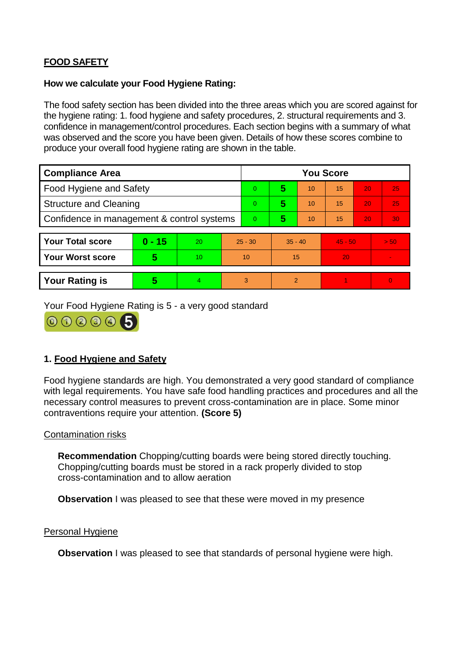# **FOOD SAFETY**

#### **How we calculate your Food Hygiene Rating:**

The food safety section has been divided into the three areas which you are scored against for the hygiene rating: 1. food hygiene and safety procedures, 2. structural requirements and 3. confidence in management/control procedures. Each section begins with a summary of what was observed and the score you have been given. Details of how these scores combine to produce your overall food hygiene rating are shown in the table.

| <b>Compliance Area</b>                     |                         |                  |           | <b>You Score</b> |                |    |           |    |                |  |  |
|--------------------------------------------|-------------------------|------------------|-----------|------------------|----------------|----|-----------|----|----------------|--|--|
| Food Hygiene and Safety                    |                         |                  |           | 0                | 5              | 10 | 15        | 20 | 25             |  |  |
| <b>Structure and Cleaning</b>              |                         |                  | 0         | 5                | 10             | 15 | 20        | 25 |                |  |  |
| Confidence in management & control systems |                         |                  | 0         | 5                | 10             | 15 | 20        | 30 |                |  |  |
|                                            |                         |                  |           |                  |                |    |           |    |                |  |  |
| <b>Your Total score</b>                    | $0 - 15$                | 20               | $25 - 30$ |                  | $35 - 40$      |    | $45 - 50$ |    | > 50           |  |  |
| Your Worst score                           | $\overline{\mathbf{5}}$ | 10 <sup>10</sup> | 10        |                  | 15             |    | 20        |    | $\blacksquare$ |  |  |
|                                            |                         |                  |           |                  |                |    |           |    |                |  |  |
| <b>Your Rating is</b>                      | 5                       | $\overline{4}$   | 3         |                  | $\overline{2}$ |    |           |    | $\overline{0}$ |  |  |

Your Food Hygiene Rating is 5 - a very good standard



# **1. Food Hygiene and Safety**

Food hygiene standards are high. You demonstrated a very good standard of compliance with legal requirements. You have safe food handling practices and procedures and all the necessary control measures to prevent cross-contamination are in place. Some minor contraventions require your attention. **(Score 5)**

### Contamination risks

**Recommendation** Chopping/cutting boards were being stored directly touching. Chopping/cutting boards must be stored in a rack properly divided to stop cross-contamination and to allow aeration

**Observation** I was pleased to see that these were moved in my presence

### Personal Hygiene

**Observation** I was pleased to see that standards of personal hygiene were high.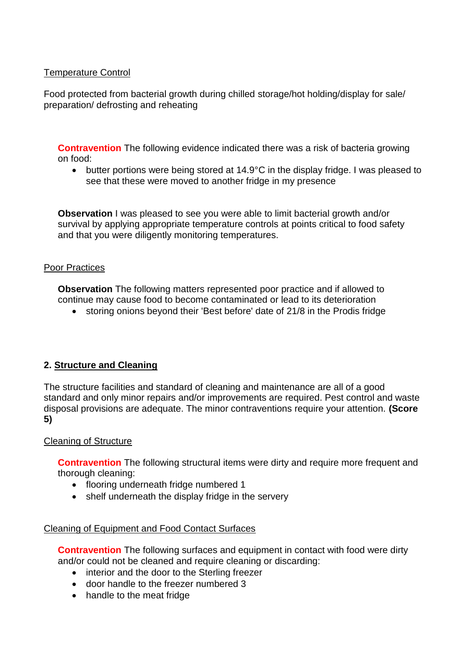## Temperature Control

Food protected from bacterial growth during chilled storage/hot holding/display for sale/ preparation/ defrosting and reheating

**Contravention** The following evidence indicated there was a risk of bacteria growing on food:

• butter portions were being stored at 14.9°C in the display fridge. I was pleased to see that these were moved to another fridge in my presence

**Observation** I was pleased to see you were able to limit bacterial growth and/or survival by applying appropriate temperature controls at points critical to food safety and that you were diligently monitoring temperatures.

### Poor Practices

**Observation** The following matters represented poor practice and if allowed to continue may cause food to become contaminated or lead to its deterioration

storing onions beyond their 'Best before' date of 21/8 in the Prodis fridge

### **2. Structure and Cleaning**

The structure facilities and standard of cleaning and maintenance are all of a good standard and only minor repairs and/or improvements are required. Pest control and waste disposal provisions are adequate. The minor contraventions require your attention. **(Score 5)**

#### Cleaning of Structure

**Contravention** The following structural items were dirty and require more frequent and thorough cleaning:

- flooring underneath fridge numbered 1
- shelf underneath the display fridge in the servery

### Cleaning of Equipment and Food Contact Surfaces

**Contravention** The following surfaces and equipment in contact with food were dirty and/or could not be cleaned and require cleaning or discarding:

- interior and the door to the Sterling freezer
- door handle to the freezer numbered 3
- handle to the meat fridge